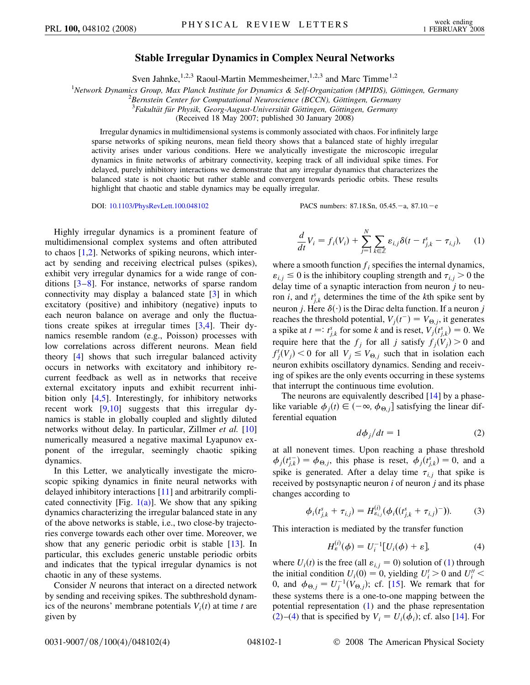## **Stable Irregular Dynamics in Complex Neural Networks**

Sven Jahnke,<sup>1,2,3</sup> Raoul-Martin Memmesheimer,<sup>1,2,3</sup> and Marc Timme<sup>1,2</sup>

<sup>1</sup> Network Dynamics Group, Max Planck Institute for Dynamics & Self-Organization (MPIDS), Göttingen, Germany <sup>2</sup> Bernstein Center for Computational Neuroscience (BCCN), Göttingen, Germany

<sup>2</sup> Bernstein Center for Computational Neuroscience (BCCN), Göttingen, Germany

<sup>3</sup> Fakultät für Physik, Georg-August-Universität Göttingen, Göttingen, Germany

(Received 18 May 2007; published 30 January 2008)

Irregular dynamics in multidimensional systems is commonly associated with chaos. For infinitely large sparse networks of spiking neurons, mean field theory shows that a balanced state of highly irregular activity arises under various conditions. Here we analytically investigate the microscopic irregular dynamics in finite networks of arbitrary connectivity, keeping track of all individual spike times. For delayed, purely inhibitory interactions we demonstrate that any irregular dynamics that characterizes the balanced state is not chaotic but rather stable and convergent towards periodic orbits. These results highlight that chaotic and stable dynamics may be equally irregular.

DOI: [10.1103/PhysRevLett.100.048102](http://dx.doi.org/10.1103/PhysRevLett.100.048102) PACS numbers: 87.18.Sn, 05.45. - a, 87.10. - e

Highly irregular dynamics is a prominent feature of multidimensional complex systems and often attributed to chaos [\[1](#page-3-0),[2](#page-3-1)]. Networks of spiking neurons, which interact by sending and receiving electrical pulses (spikes), exhibit very irregular dynamics for a wide range of conditions  $[3-8]$  $[3-8]$  $[3-8]$  $[3-8]$ . For instance, networks of sparse random connectivity may display a balanced state [\[3](#page-3-2)] in which excitatory (positive) and inhibitory (negative) inputs to each neuron balance on average and only the fluctuations create spikes at irregular times [\[3](#page-3-2)[,4](#page-3-4)]. Their dynamics resemble random (e.g., Poisson) processes with low correlations across different neurons. Mean field theory [\[4](#page-3-4)] shows that such irregular balanced activity occurs in networks with excitatory and inhibitory recurrent feedback as well as in networks that receive external excitatory inputs and exhibit recurrent inhibition only [\[4,](#page-3-4)[5](#page-3-5)]. Interestingly, for inhibitory networks recent work [[9,](#page-3-6)[10\]](#page-3-7) suggests that this irregular dynamics is stable in globally coupled and slightly diluted networks without delay. In particular, Zillmer *et al.* [\[10\]](#page-3-7) numerically measured a negative maximal Lyapunov exponent of the irregular, seemingly chaotic spiking dynamics.

In this Letter, we analytically investigate the microscopic spiking dynamics in finite neural networks with delayed inhibitory interactions [[11](#page-3-8)] and arbitrarily complicated connectivity [Fig.  $1(a)$ ]. We show that any spiking dynamics characterizing the irregular balanced state in any of the above networks is stable, i.e., two close-by trajectories converge towards each other over time. Moreover, we show that any generic periodic orbit is stable [[13\]](#page-3-9). In particular, this excludes generic unstable periodic orbits and indicates that the typical irregular dynamics is not chaotic in any of these systems.

Consider *N* neurons that interact on a directed network by sending and receiving spikes. The subthreshold dynamics of the neurons' membrane potentials  $V_i(t)$  at time *t* are given by

<span id="page-0-0"></span>*d*  $\frac{d}{dt}V_i = f_i(V_i) + \sum_{i=1}^{N}$  $j=1$  $\overline{ }$ *k*2Z  $\varepsilon_{i,j} \delta(t - t_{j,k}^s - \tau_{i,j}),$  (1)

where a smooth function  $f_i$  specifies the internal dynamics,  $\varepsilon_{i,j} \leq 0$  is the inhibitory coupling strength and  $\tau_{i,j} > 0$  the delay time of a synaptic interaction from neuron *j* to neuron *i*, and  $t_{j,k}^s$  determines the time of the *k*th spike sent by neuron *j*. Here  $\delta(\cdot)$  is the Dirac delta function. If a neuron *j* reaches the threshold potential,  $V_j(t^-) = V_{\Theta, j}$ , it generates a spike at  $t =: t_{j,k}^s$  for some *k* and is reset,  $V_j(t_{j,k}^s) = 0$ . We require here that the  $f_j$  for all *j* satisfy  $f_j(V_j) > 0$  and  $f'_{j}(V_{j})$  < 0 for all  $V_{j} \leq V_{\Theta, j}$  such that in isolation each neuron exhibits oscillatory dynamics. Sending and receiving of spikes are the only events occurring in these systems that interrupt the continuous time evolution.

<span id="page-0-1"></span>The neurons are equivalently described [[14](#page-3-10)] by a phaselike variable  $\phi_j(t) \in (-\infty, \phi_{\Theta,j}]$  satisfying the linear differential equation

$$
d\phi_j/dt = 1 \tag{2}
$$

at all nonevent times. Upon reaching a phase threshold  $\phi_j(t_{j,k}^{s-}) = \phi_{\Theta,j}$ , this phase is reset,  $\phi_j(t_{j,k}^{s}) = 0$ , and a spike is generated. After a delay time  $\tau_{i,j}$  that spike is received by postsynaptic neuron *i* of neuron *j* and its phase changes according to

$$
\phi_i(t_{j,k}^s + \tau_{i,j}) = H_{\varepsilon_{i,j}}^{(i)}(\phi_i((t_{j,k}^s + \tau_{i,j})^{-})).
$$
 (3)

<span id="page-0-2"></span>This interaction is mediated by the transfer function

$$
H_{\varepsilon}^{(i)}(\phi) = U_i^{-1}[U_i(\phi) + \varepsilon], \tag{4}
$$

where  $U_i(t)$  is the free (all  $\varepsilon_{i,j} = 0$ ) solution of [\(1\)](#page-0-0) through the initial condition  $U_i(0) = 0$ , yielding  $U_i' > 0$  and  $U_i'' <$ 0, and  $\phi_{\Theta, j} = U_j^{-1}(V_{\Theta, j})$ ; cf. [\[15\]](#page-3-11). We remark that for these systems there is a one-to-one mapping between the potential representation [\(1](#page-0-0)) and the phase representation [\(2\)](#page-0-1)–([4](#page-0-2)) that is specified by  $V_i = U_i(\phi_i)$ ; cf. also [\[14\]](#page-3-10). For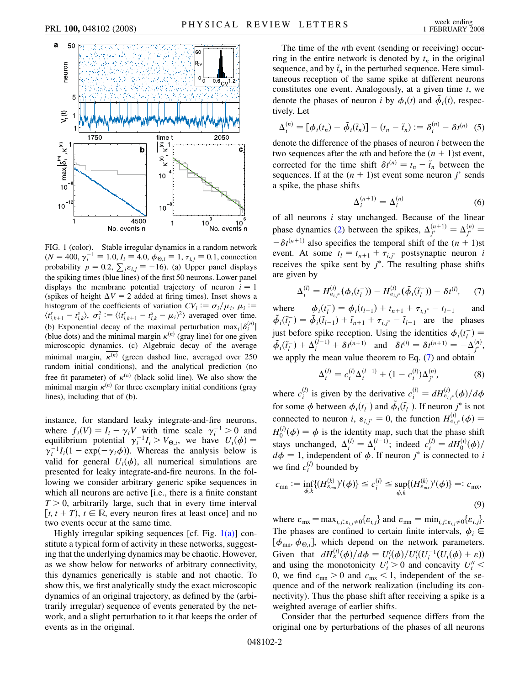

<span id="page-1-0"></span>FIG. 1 (color). Stable irregular dynamics in a random network  $(N = 400, \gamma_i^{-1} \equiv 1.0, I_i \equiv 4.0, \phi_{\Theta,i} \equiv 1, \tau_{i,j} \equiv 0.1$ , connection probability  $p = 0.2$ ,  $\sum_j \varepsilon_{i,j} \equiv -16$ ). (a) Upper panel displays the spiking times (blue lines) of the first 50 neurons. Lower panel displays the membrane potential trajectory of neuron  $i = 1$ (spikes of height  $\Delta V = 2$  added at firing times). Inset shows a histogram of the coefficients of variation  $CV_i := \sigma_i / \mu_i$ ,  $\mu_i :=$  $\langle t_{i,k+1}^s - t_{i,k}^s \rangle$ ,  $\sigma_i^2 := \langle (t_{i,k+1}^s - t_{i,k}^s - \mu_i)^2 \rangle$  averaged over time. (b) Exponential decay of the maximal perturbation  $\max_i |\delta_i^{(n)}|$ (blue dots) and the minimal margin  $\kappa^{(n)}$  (gray line) for one given microscopic dynamics. (c) Algebraic decay of the average minimal margin,  $\kappa^{(n)}$  (green dashed line, averaged over 250 random initial conditions), and the analytical prediction (no free fit parameter) of  $\kappa^{(n)}$  (black solid line). We also show the minimal margin  $\kappa^{(n)}$  for three exemplary initial conditions (gray lines), including that of (b).

instance, for standard leaky integrate-and-fire neurons, where  $f_i(V) = I_i - \gamma_i V$  with time scale  $\gamma_i^{-1} > 0$  and equilibrium potential  $\gamma_i^{-1}I_i > V_{\Theta,i}$ , we have  $U_i(\phi) =$  $\gamma_i^{-1}I_i(1 - \exp(-\gamma_i \phi))$ . Whereas the analysis below is valid for general  $U_i(\phi)$ , all numerical simulations are presented for leaky integrate-and-fire neurons. In the following we consider arbitrary generic spike sequences in which all neurons are active [i.e., there is a finite constant  $T > 0$ , arbitrarily large, such that in every time interval  $[t, t + T), t \in \mathbb{R}$ , every neuron fires at least once] and no two events occur at the same time.

Highly irregular spiking sequences [cf. Fig.  $1(a)$ ] constitute a typical form of activity in these networks, suggesting that the underlying dynamics may be chaotic. However, as we show below for networks of arbitrary connectivity, this dynamics generically is stable and not chaotic. To show this, we first analytically study the exact microscopic dynamics of an original trajectory, as defined by the (arbitrarily irregular) sequence of events generated by the network, and a slight perturbation to it that keeps the order of events as in the original.

The time of the *n*th event (sending or receiving) occurring in the entire network is denoted by  $t_n$  in the original sequence, and by  $\tilde{t}_n$  in the perturbed sequence. Here simultaneous reception of the same spike at different neurons constitutes one event. Analogously, at a given time *t*, we denote the phases of neuron *i* by  $\phi_i(t)$  and  $\tilde{\phi}_i(t)$ , respectively. Let

$$
\Delta_i^{(n)} = [\phi_i(t_n) - \tilde{\phi}_i(\tilde{t}_n)] - (t_n - \tilde{t}_n) := \delta_i^{(n)} - \delta t^{(n)} \quad (5)
$$

denote the difference of the phases of neuron *i* between the two sequences after the *n*th and before the  $(n + 1)$ st event, corrected for the time shift  $\delta t^{(n)} = t_n - \tilde{t}_n$  between the sequences. If at the  $(n + 1)$ st event some neuron  $j^*$  sends a spike, the phase shifts

$$
\Delta_i^{(n+1)} = \Delta_i^{(n)}\tag{6}
$$

of all neurons *i* stay unchanged. Because of the linear phase dynamics ([2](#page-0-1)) between the spikes,  $\Delta_{j^*}^{(n+1)} = \Delta_{j^*}^{(n)} =$  $-\delta t^{(n+1)}$  also specifies the temporal shift of the  $(n + 1)$ st event. At some  $t_l = t_{n+1} + \tau_{i,j^*}$  postsynaptic neuron *i* receives the spike sent by  $j^*$ . The resulting phase shifts are given by

<span id="page-1-1"></span>
$$
\Delta_i^{(l)} = H_{\varepsilon_{i,j^*}}^{(i)}(\phi_i(t_l^-)) - H_{\varepsilon_{i,j^*}}^{(i)}(\tilde{\phi}_i(\tilde{t}_l^-)) - \delta t^{(l)}, \quad (7)
$$

where  $t_l^-$ ) =  $\phi_i(t_{l-1}) + t_{n+1} + \tau_{i,j^*} - t_{l-1}$  and  $\tilde{\phi}_i(\tilde{t}_i^-) = \tilde{\phi}_i(\tilde{t}_{i-1}) + \tilde{t}_{n+1} + \tau_{i,j^*} - \tilde{t}_{i-1}$  are the phases just before spike reception. Using the identities  $\phi_i(t_i^-) =$  $\tilde{\phi}_i(\tilde{t}_i^-) + \Delta_i^{(l-1)} + \delta t^{(n+1)}$  and  $\delta t^{(l)} = \delta t^{(n+1)} = -\Delta_j^{(n)},$ we apply the mean value theorem to Eq. ([7](#page-1-1)) and obtain

$$
\Delta_i^{(l)} = c_i^{(l)} \Delta_i^{(l-1)} + (1 - c_i^{(l)}) \Delta_j^{(n)},\tag{8}
$$

<span id="page-1-2"></span>where  $c_i^{(l)}$  is given by the derivative  $c_i^{(l)} = dH_{\varepsilon_{i,j^*}}^{(i)}(\phi)/d\phi$ for some  $\phi$  between  $\phi_i(t_i^-)$  and  $\tilde{\phi}_i(\tilde{t}_i^-)$ . If neuron  $j^*$  is not connected to neuron *i*,  $\varepsilon_{i,j^*} = 0$ , the function  $H_{\varepsilon_{i,j^*}}^{(i)}(\phi) =$  $H_0^{(i)}(\phi) = \phi$  is the identity map, such that the phase shift stays unchanged,  $\Delta_i^{(l)} = \Delta_i^{(l-1)}$ ; indeed  $c_i^{(l)} = dH_0^{(i)}(\phi)$ /  $d\phi = 1$ , independent of  $\phi$ . If neuron  $j^*$  is connected to *i* we find  $c_i^{(l)}$  bounded by

<span id="page-1-3"></span>
$$
c_{mn} := \inf_{\phi,k} \{ (H_{\varepsilon_{mn}}^{(k)})'(\phi) \} \le c_i^{(l)} \le \sup_{\phi,k} \{ (H_{\varepsilon_{mx}}^{(k)})'(\phi) \} =: c_{mx},
$$
\n(9)

where  $\varepsilon_{\text{mx}} = \max_{i,j: \varepsilon_{i,j} \neq 0} {\varepsilon_{i,j}}$  and  $\varepsilon_{\text{mn}} = \min_{i,j: \varepsilon_{i,j} \neq 0} {\varepsilon_{i,j}}$ . The phases are confined to certain finite intervals,  $\phi_i \in$  $[\phi_{mn}, \phi_{\Theta,i}]$ , which depend on the network parameters. Given that  $dH_{\varepsilon}^{(i)}(\phi)/d\phi = U'_{i}(\phi)/U'_{i}(U_{i}^{-1}(U_{i}(\phi) + \varepsilon))$ and using the monotonicity  $U_i' > 0$  and concavity  $U_i'' <$ 0, we find  $c_{mn} > 0$  and  $c_{mx} < 1$ , independent of the sequence and of the network realization (including its connectivity). Thus the phase shift after receiving a spike is a weighted average of earlier shifts.

Consider that the perturbed sequence differs from the original one by perturbations of the phases of all neurons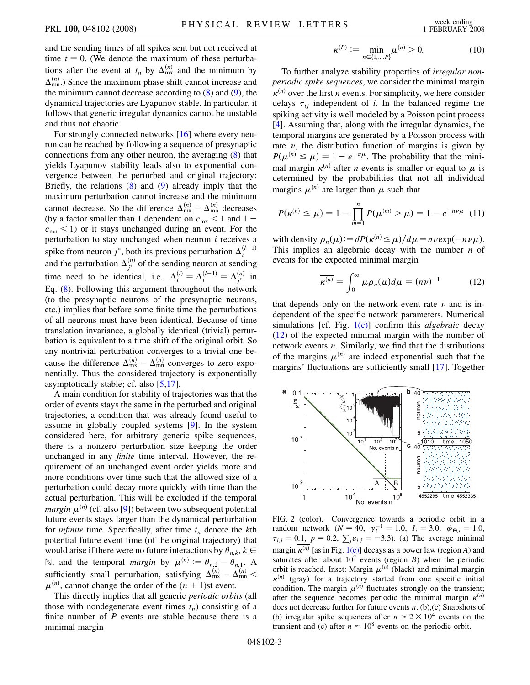and the sending times of all spikes sent but not received at time  $t = 0$ . (We denote the maximum of these perturbations after the event at  $t_n$  by  $\Delta_{mx}^{(n)}$  and the minimum by  $\Delta_{mn}^{(n)}$ .) Since the maximum phase shift cannot increase and the minimum cannot decrease according to  $(8)$  $(8)$  $(8)$  and  $(9)$ , the dynamical trajectories are Lyapunov stable. In particular, it follows that generic irregular dynamics cannot be unstable and thus not chaotic.

For strongly connected networks [\[16\]](#page-3-12) where every neuron can be reached by following a sequence of presynaptic connections from any other neuron, the averaging [\(8\)](#page-1-2) that yields Lyapunov stability leads also to exponential convergence between the perturbed and original trajectory: Briefly, the relations  $(8)$  $(8)$  and  $(9)$  $(9)$  $(9)$  already imply that the maximum perturbation cannot increase and the minimum cannot decrease. So the difference  $\Delta_{\text{mx}}^{(n)} - \Delta_{\text{mn}}^{(n)}$  decreases (by a factor smaller than 1 dependent on  $c_{\text{mx}} < 1$  and  $1$  $c_{mn}$  < 1) or it stays unchanged during an event. For the perturbation to stay unchanged when neuron *i* receives a spike from neuron  $j^*$ , both its previous perturbation  $\Delta_i^{(l-1)}$ *i* and the perturbation  $\Delta_{j^*}^{(n)}$  of the sending neuron at sending time need to be identical, i.e.,  $\Delta_i^{(l)} = \Delta_i^{(l-1)} = \Delta_j^{(n)}$  in Eq. [\(8\)](#page-1-2). Following this argument throughout the network (to the presynaptic neurons of the presynaptic neurons, etc.) implies that before some finite time the perturbations of all neurons must have been identical. Because of time translation invariance, a globally identical (trivial) perturbation is equivalent to a time shift of the original orbit. So any nontrivial perturbation converges to a trivial one because the difference  $\Delta_{\text{mx}}^{(n)} - \Delta_{\text{mn}}^{(n)}$  converges to zero exponentially. Thus the considered trajectory is exponentially asymptotically stable; cf. also [\[5](#page-3-5)[,17\]](#page-3-13).

A main condition for stability of trajectories was that the order of events stays the same in the perturbed and original trajectories, a condition that was already found useful to assume in globally coupled systems [\[9](#page-3-6)]. In the system considered here, for arbitrary generic spike sequences, there is a nonzero perturbation size keeping the order unchanged in any *finite* time interval. However, the requirement of an unchanged event order yields more and more conditions over time such that the allowed size of a perturbation could decay more quickly with time than the actual perturbation. This will be excluded if the temporal  $\mathit{margin}\ \mu^{(n)}$  (cf. also [\[9\]](#page-3-6)) between two subsequent potential future events stays larger than the dynamical perturbation for *infinite* time. Specifically, after time  $t_n$  denote the  $k$ th potential future event time (of the original trajectory) that would arise if there were no future interactions by  $\theta_{n,k}$ ,  $k \in$  $\mathbb{N}$ , and the temporal *margin* by  $\mu^{(n)} := \theta_{n,2} - \theta_{n,1}$ . A sufficiently small perturbation, satisfying  $\Delta_{mx}^{(n)} - \Delta_{mn}^{(n)} <$  $\mu^{(n)}$ , cannot change the order of the  $(n + 1)$ st event.

This directly implies that all generic *periodic orbits* (all those with nondegenerate event times  $t_n$ ) consisting of a finite number of *P* events are stable because there is a minimal margin

$$
\kappa^{(P)} := \min_{n \in \{1, \dots, P\}} \mu^{(n)} > 0. \tag{10}
$$

To further analyze stability properties of *irregular nonperiodic spike sequences*, we consider the minimal margin  $\kappa^{(n)}$  over the first *n* events. For simplicity, we here consider delays  $\tau_{ij}$  independent of *i*. In the balanced regime the spiking activity is well modeled by a Poisson point process [\[4\]](#page-3-4). Assuming that, along with the irregular dynamics, the temporal margins are generated by a Poisson process with rate  $\nu$ , the distribution function of margins is given by  $P(\mu^{(n)} \leq \mu) = 1 - e^{-\nu\mu}$ . The probability that the minimal margin  $\kappa^{(n)}$  after *n* events is smaller or equal to  $\mu$  is determined by the probabilities that not all individual margins  $\mu^{(n)}$  are larger than  $\mu$  such that

$$
P(\kappa^{(n)} \le \mu) = 1 - \prod_{m=1}^{n} P(\mu^{(m)} > \mu) = 1 - e^{-n\nu\mu} \quad (11)
$$

<span id="page-2-0"></span>with density  $\rho_n(\mu) := dP(\kappa^{(n)} \le \mu) / d\mu = n \nu \exp(-n \nu \mu).$ This implies an algebraic decay with the number *n* of events for the expected minimal margin

$$
\overline{\kappa^{(n)}} = \int_0^\infty \mu \rho_n(\mu) d\mu = (n\nu)^{-1} \tag{12}
$$

that depends only on the network event rate  $\nu$  and is independent of the specific network parameters. Numerical simulations [cf. Fig. [1\(c\)](#page-1-0)] confirm this *algebraic* decay [\(12\)](#page-2-0) of the expected minimal margin with the number of network events *n*. Similarly, we find that the distributions of the margins  $\mu^{(n)}$  are indeed exponential such that the margins' fluctuations are sufficiently small [\[17\]](#page-3-13). Together

<span id="page-2-1"></span>

FIG. 2 (color). Convergence towards a periodic orbit in a random network  $(N = 40, \gamma_i^{-1} \equiv 1.0, I_i \equiv 3.0, \phi_{\Theta,i} \equiv 1.0,$  $\tau_{i,j} = 0.1, p = 0.2, \sum_j \varepsilon_{i,j} = -3.3$ ). (a) The average minimal margin  $\kappa^{(n)}$  [as in Fig. [1\(c\)](#page-1-0)] decays as a power law (region *A*) and saturates after about  $10<sup>7</sup>$  events (region *B*) when the periodic orbit is reached. Inset: Margin  $\mu^{(n)}$  (black) and minimal margin  $\kappa^{(n)}$  (gray) for a trajectory started from one specific initial condition. The margin  $\mu^{(n)}$  fluctuates strongly on the transient; after the sequence becomes periodic the minimal margin  $\kappa^{(n)}$ does not decrease further for future events *n*. (b),(c) Snapshots of (b) irregular spike sequences after  $n \approx 2 \times 10^4$  events on the transient and (c) after  $n \approx 10^8$  events on the periodic orbit.